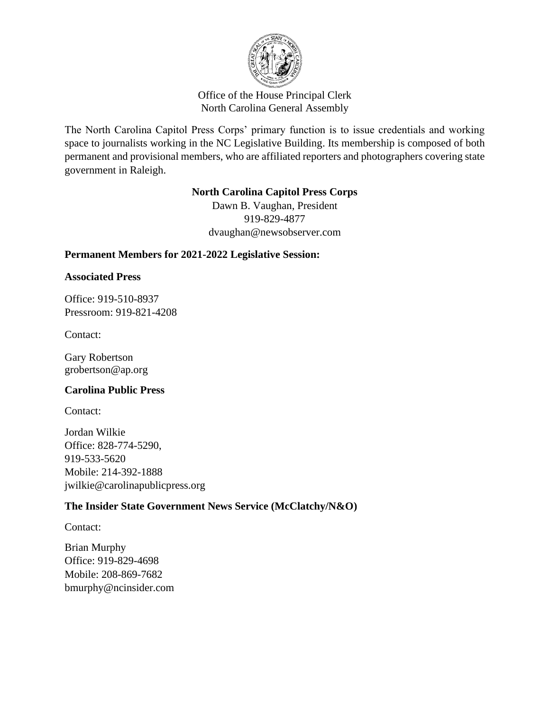

## Office of the House Principal Clerk North Carolina General Assembly

The North Carolina Capitol Press Corps' primary function is to issue credentials and working space to journalists working in the NC Legislative Building. Its membership is composed of both permanent and provisional members, who are affiliated reporters and photographers covering state government in Raleigh.

## **North Carolina Capitol Press Corps**

Dawn B. Vaughan, President 919-829-4877 dvaughan@newsobserver.com

# **Permanent Members for 2021-2022 Legislative Session:**

## **Associated Press**

Office: 919-510-8937 Pressroom: 919-821-4208

Contact:

Gary Robertson grobertson@ap.org

## **Carolina Public Press**

Contact:

Jordan Wilkie Office: 828-774-5290, 919-533-5620 Mobile: 214-392-1888 jwilkie@carolinapublicpress.org

# **The Insider State Government News Service (McClatchy/N&O)**

Contact:

Brian Murphy Office: 919-829-4698 Mobile: 208-869-7682 bmurphy@ncinsider.com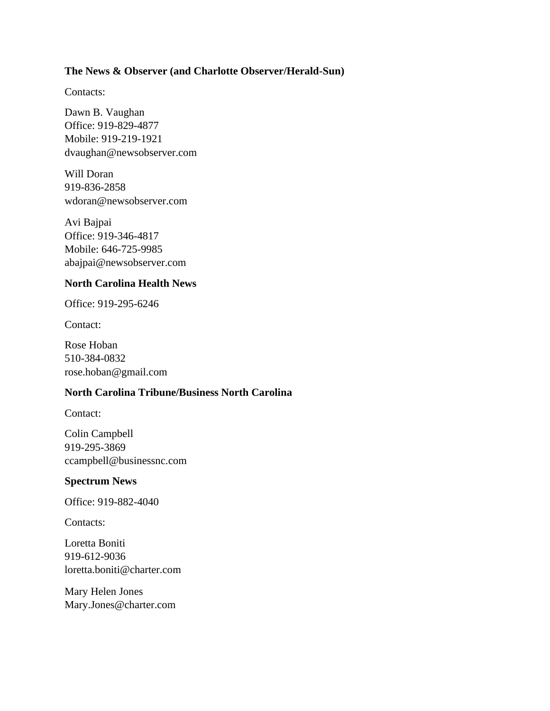### **The News & Observer (and Charlotte Observer/Herald-Sun)**

Contacts:

Dawn B. Vaughan Office: 919-829-4877 Mobile: 919-219-1921 dvaughan@newsobserver.com

Will Doran 919-836-2858 wdoran@newsobserver.com

Avi Bajpai Office: 919-346-4817 Mobile: 646-725-9985 abajpai@newsobserver.com

### **North Carolina Health News**

Office: 919-295-6246

Contact:

Rose Hoban 510-384-0832 rose.hoban@gmail.com

### **North Carolina Tribune/Business North Carolina**

Contact:

Colin Campbell 919-295-3869 ccampbell@businessnc.com

#### **Spectrum News**

Office: 919-882-4040

Contacts:

Loretta Boniti 919-612-9036 loretta.boniti@charter.com

Mary Helen Jones Mary.Jones@charter.com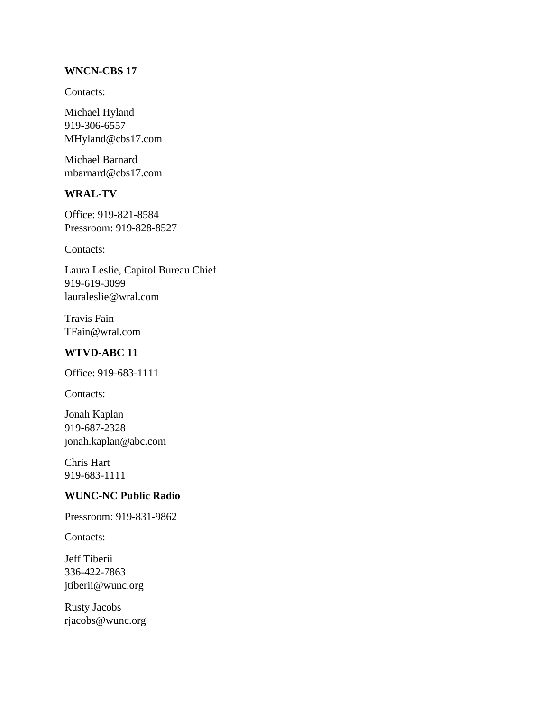### **WNCN-CBS 17**

Contacts:

Michael Hyland 919-306-6557 MHyland@cbs17.com

Michael Barnard mbarnard@cbs17.com

## **WRAL-TV**

Office: 919-821-8584 Pressroom: 919-828-8527

Contacts:

Laura Leslie, Capitol Bureau Chief 919-619-3099 lauraleslie@wral.com

Travis Fain TFain@wral.com

# **WTVD-ABC 11**

Office: 919-683-1111

Contacts:

Jonah Kaplan 919-687-2328 jonah.kaplan@abc.com

Chris Hart 919-683-1111

## **WUNC-NC Public Radio**

Pressroom: 919-831-9862

Contacts:

Jeff Tiberii 336-422-7863 jtiberii@wunc.org

Rusty Jacobs rjacobs@wunc.org